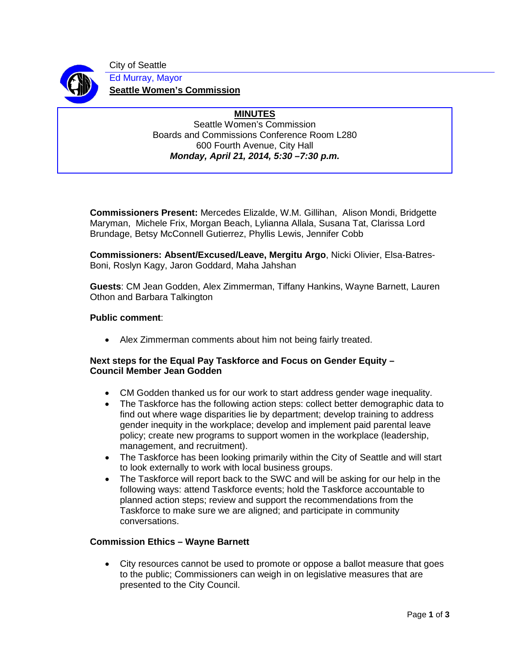

City of Seattle Ed Murray, Mayor **Seattle Women's Commission**

#### **MINUTES** Seattle Women's Commission Boards and Commissions Conference Room L280 600 Fourth Avenue, City Hall *Monday, April 21, 2014, 5:30 –7:30 p.m.*

**Commissioners Present:** Mercedes Elizalde, W.M. Gillihan, Alison Mondi, Bridgette Maryman, Michele Frix, Morgan Beach, Lylianna Allala, Susana Tat, Clarissa Lord Brundage, Betsy McConnell Gutierrez, Phyllis Lewis, Jennifer Cobb

**Commissioners: Absent/Excused/Leave, Mergitu Argo**, Nicki Olivier, Elsa-Batres-Boni, Roslyn Kagy, Jaron Goddard, Maha Jahshan

**Guests**: CM Jean Godden, Alex Zimmerman, Tiffany Hankins, Wayne Barnett, Lauren Othon and Barbara Talkington

# **Public comment**:

• Alex Zimmerman comments about him not being fairly treated.

## **Next steps for the Equal Pay Taskforce and Focus on Gender Equity – Council Member Jean Godden**

- CM Godden thanked us for our work to start address gender wage inequality.
- The Taskforce has the following action steps: collect better demographic data to find out where wage disparities lie by department; develop training to address gender inequity in the workplace; develop and implement paid parental leave policy; create new programs to support women in the workplace (leadership, management, and recruitment).
- The Taskforce has been looking primarily within the City of Seattle and will start to look externally to work with local business groups.
- The Taskforce will report back to the SWC and will be asking for our help in the following ways: attend Taskforce events; hold the Taskforce accountable to planned action steps; review and support the recommendations from the Taskforce to make sure we are aligned; and participate in community conversations.

## **Commission Ethics – Wayne Barnett**

• City resources cannot be used to promote or oppose a ballot measure that goes to the public; Commissioners can weigh in on legislative measures that are presented to the City Council.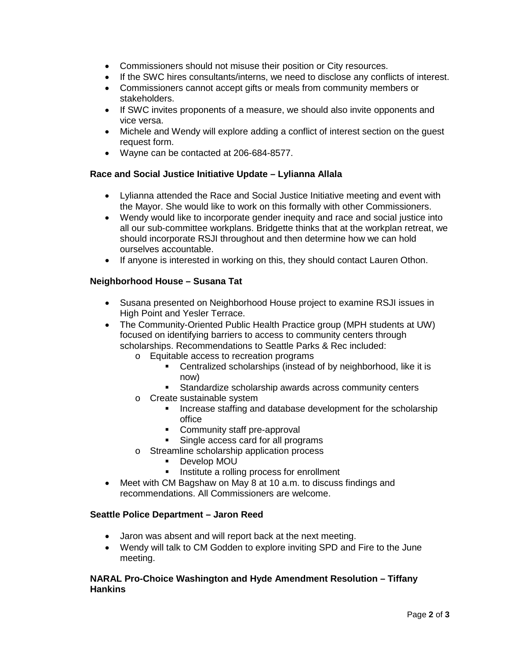- Commissioners should not misuse their position or City resources.
- If the SWC hires consultants/interns, we need to disclose any conflicts of interest.
- Commissioners cannot accept gifts or meals from community members or stakeholders.
- If SWC invites proponents of a measure, we should also invite opponents and vice versa.
- Michele and Wendy will explore adding a conflict of interest section on the guest request form.
- Wayne can be contacted at 206-684-8577.

## **Race and Social Justice Initiative Update – Lylianna Allala**

- Lylianna attended the Race and Social Justice Initiative meeting and event with the Mayor. She would like to work on this formally with other Commissioners.
- Wendy would like to incorporate gender inequity and race and social justice into all our sub-committee workplans. Bridgette thinks that at the workplan retreat, we should incorporate RSJI throughout and then determine how we can hold ourselves accountable.
- If anyone is interested in working on this, they should contact Lauren Othon.

# **Neighborhood House – Susana Tat**

- Susana presented on Neighborhood House project to examine RSJI issues in High Point and Yesler Terrace.
- The Community-Oriented Public Health Practice group (MPH students at UW) focused on identifying barriers to access to community centers through scholarships. Recommendations to Seattle Parks & Rec included:
	- o Equitable access to recreation programs
		- Centralized scholarships (instead of by neighborhood, like it is now)
		- **Standardize scholarship awards across community centers**
	- o Create sustainable system
		- **Increase staffing and database development for the scholarship** office
		- **Community staff pre-approval**
		- Single access card for all programs
	- o Streamline scholarship application process
		- Develop MOU<br>■ Institute a rollir
		- Institute a rolling process for enrollment
- Meet with CM Bagshaw on May 8 at 10 a.m. to discuss findings and recommendations. All Commissioners are welcome.

## **Seattle Police Department – Jaron Reed**

- Jaron was absent and will report back at the next meeting.
- Wendy will talk to CM Godden to explore inviting SPD and Fire to the June meeting.

### **NARAL Pro-Choice Washington and Hyde Amendment Resolution – Tiffany Hankins**